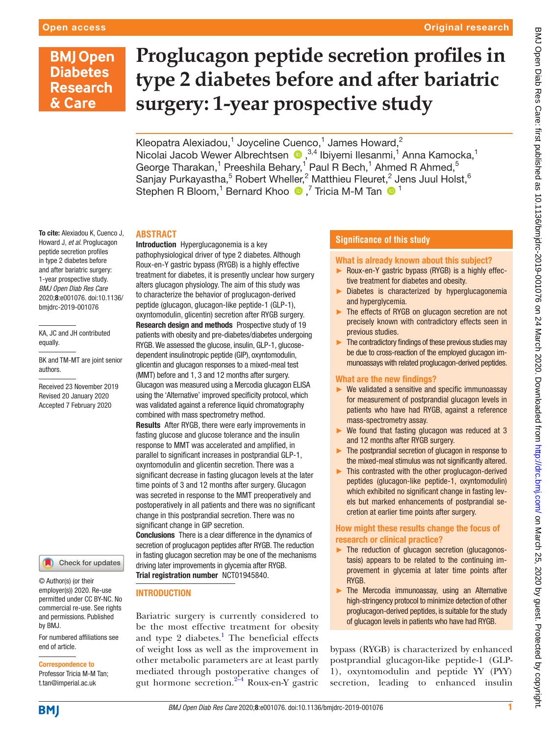# **BMJ Open Diabetes Research** & Care

# **Proglucagon peptide secretion profiles in type 2 diabetes before and after bariatric surgery: 1-year prospective study**

Kleopatra Alexiadou, $^1$  Joyceline Cuenco, $^1$  James Howard, $^2$ Nicolai Jacob Wewer Albrechtsen (D, 3,4 Ibiyemi Ilesanmi, <sup>1</sup> Anna Kamocka, <sup>1</sup> George Tharakan,<sup>1</sup> Preeshila Behary,<sup>1</sup> Paul R Bech,<sup>1</sup> Ahmed R Ahmed,<sup>5</sup> Sanjay Purkayastha,<sup>5</sup> Robert Wheller,<sup>2</sup> Matthieu Fleuret,<sup>2</sup> Jens Juul Holst,<sup>6</sup> StephenR Bloom,<sup>1</sup> Bernard Khoo  $\bullet$  ,<sup>7</sup> Tricia M-M Tan  $\bullet$  <sup>1</sup>

#### To cite: Alexiadou K, Cuenco J, Howard J, *et al*. Proglucagon peptide secretion profiles in type 2 diabetes before and after bariatric surgery: 1-year prospective study. *BMJ Open Diab Res Care* 2020;8:e001076. doi:10.1136/ bmjdrc-2019-001076

KA, JC and JH contributed equally.

BK and TM-MT are joint senior authors.

Received 23 November 2019 Revised 20 January 2020 Accepted 7 February 2020



© Author(s) (or their employer(s)) 2020. Re-use permitted under CC BY-NC. No commercial re-use. See rights and permissions. Published by BMJ.

For numbered affiliations see end of article.

# Correspondence to

Professor Tricia M-M Tan; t.tan@imperial.ac.uk

### **Abstract**

Introduction Hyperglucagonemia is a key pathophysiological driver of type 2 diabetes. Although Roux-en-Y gastric bypass (RYGB) is a highly effective treatment for diabetes, it is presently unclear how surgery alters glucagon physiology. The aim of this study was to characterize the behavior of proglucagon-derived peptide (glucagon, glucagon-like peptide-1 (GLP-1), oxyntomodulin, glicentin) secretion after RYGB surgery. Research design and methods Prospective study of 19 patients with obesity and pre-diabetes/diabetes undergoing RYGB. We assessed the glucose, insulin, GLP-1, glucosedependent insulinotropic peptide (GIP), oxyntomodulin, glicentin and glucagon responses to a mixed-meal test (MMT) before and 1, 3 and 12 months after surgery. Glucagon was measured using a Mercodia glucagon ELISA using the 'Alternative' improved specificity protocol, which was validated against a reference liquid chromatography combined with mass spectrometry method.

Results After RYGB, there were early improvements in fasting glucose and glucose tolerance and the insulin response to MMT was accelerated and amplified, in parallel to significant increases in postprandial GLP-1, oxyntomodulin and glicentin secretion. There was a significant decrease in fasting glucagon levels at the later time points of 3 and 12 months after surgery. Glucagon was secreted in response to the MMT preoperatively and postoperatively in all patients and there was no significant change in this postprandial secretion. There was no significant change in GIP secretion.

Conclusions There is a clear difference in the dynamics of secretion of proglucagon peptides after RYGB. The reduction in fasting glucagon secretion may be one of the mechanisms driving later improvements in glycemia after RYGB. Trial registration number <NCT01945840>.

# **INTRODUCTION**

Bariatric surgery is currently considered to be the most effective treatment for obesity and type 2 diabetes.<sup>[1](#page-8-0)</sup> The beneficial effects of weight loss as well as the improvement in other metabolic parameters are at least partly mediated through postoperative changes of gut hormone secretion. $2\frac{2}{4}$  Roux-en-Y gastric

# **Significance of this study**

What is already known about this subject?

- ► Roux-en-Y gastric bypass (RYGB) is a highly effective treatment for diabetes and obesity.
- ► Diabetes is characterized by hyperglucagonemia and hyperglycemia.
- ► The effects of RYGB on glucagon secretion are not precisely known with contradictory effects seen in previous studies.
- ► The contradictory findings of these previous studies may be due to cross-reaction of the employed glucagon immunoassays with related proglucagon-derived peptides.

# What are the new findings?

- $\blacktriangleright$  We validated a sensitive and specific immunoassay for measurement of postprandial glucagon levels in patients who have had RYGB, against a reference mass-spectrometry assay.
- ► We found that fasting glucagon was reduced at 3 and 12 months after RYGB surgery.
- ► The postprandial secretion of glucagon in response to the mixed-meal stimulus was not significantly altered.
- ► This contrasted with the other proglucagon-derived peptides (glucagon-like peptide-1, oxyntomodulin) which exhibited no significant change in fasting levels but marked enhancements of postprandial secretion at earlier time points after surgery.

# How might these results change the focus of research or clinical practice?

- ► The reduction of glucagon secretion (glucagonostasis) appears to be related to the continuing improvement in glycemia at later time points after RYGB.
- ► The Mercodia immunoassay, using an Alternative high-stringency protocol to minimize detection of other proglucagon-derived peptides, is suitable for the study of glucagon levels in patients who have had RYGB.

bypass (RYGB) is characterized by enhanced postprandial glucagon-like peptide-1 (GLP-1), oxyntomodulin and peptide YY (PYY) secretion, leading to enhanced insulin

**BMI**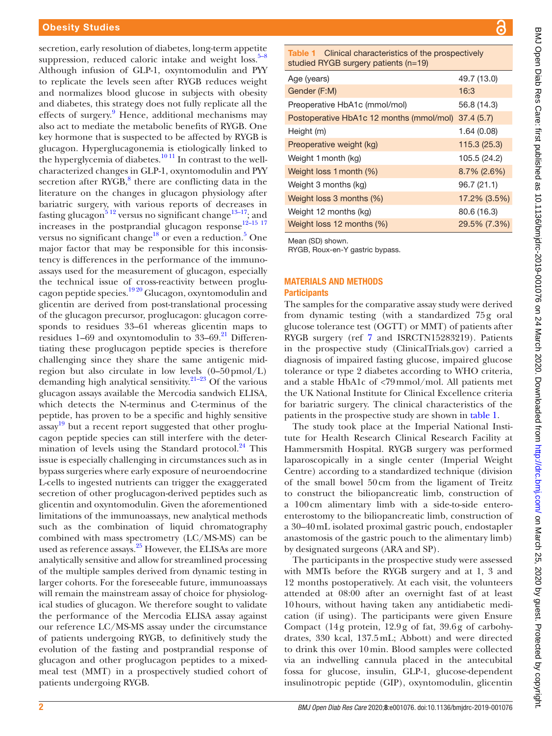secretion, early resolution of diabetes, long-term appetite suppression, reduced caloric intake and weight  $loss.<sup>5–8</sup>$ Although infusion of GLP-1, oxyntomodulin and PYY to replicate the levels seen after RYGB reduces weight and normalizes blood glucose in subjects with obesity and diabetes, this strategy does not fully replicate all the effects of surgery.<sup>[9](#page-8-3)</sup> Hence, additional mechanisms may also act to mediate the metabolic benefits of RYGB. One key hormone that is suspected to be affected by RYGB is glucagon. Hyperglucagonemia is etiologically linked to the hyperglycemia of diabetes.<sup>[10 11](#page-8-4)</sup> In contrast to the wellcharacterized changes in GLP-1, oxyntomodulin and PYY secretion after  $RYGB$ , there are conflicting data in the literature on the changes in glucagon physiology after bariatric surgery, with various reports of decreases in fasting glucagon<sup>512</sup> versus no significant change<sup>13-17</sup>; and increases in the postprandial glucagon response<sup>[12–15 17](#page-9-1)</sup> versus no significant change<sup>18</sup> or even a reduction.<sup>[5](#page-8-2)</sup> One major factor that may be responsible for this inconsistency is differences in the performance of the immunoassays used for the measurement of glucagon, especially the technical issue of cross-reactivity between proglucagon peptide species.<sup>1920</sup> Glucagon, oxyntomodulin and glicentin are derived from post-translational processing of the glucagon precursor, proglucagon: glucagon corresponds to residues 33–61 whereas glicentin maps to residues  $1-69$  and oxyntomodulin to  $33-69$ .<sup>21</sup> Differentiating these proglucagon peptide species is therefore challenging since they share the same antigenic midregion but also circulate in low levels  $(0-50 \text{ pmol/L})$ demanding high analytical sensitivity.<sup>21-23</sup> Of the various glucagon assays available the Mercodia sandwich ELISA, which detects the N-terminus and C-terminus of the peptide, has proven to be a specific and highly sensitive assay<sup>19</sup> but a recent report suggested that other proglucagon peptide species can still interfere with the determination of levels using the Standard protocol. $^{24}$  This issue is especially challenging in circumstances such as in bypass surgeries where early exposure of neuroendocrine L-cells to ingested nutrients can trigger the exaggerated secretion of other proglucagon-derived peptides such as glicentin and oxyntomodulin. Given the aforementioned limitations of the immunoassays, new analytical methods such as the combination of liquid chromatography combined with mass spectrometry (LC/MS-MS) can be used as reference assays.<sup>25</sup> However, the ELISAs are more analytically sensitive and allow for streamlined processing of the multiple samples derived from dynamic testing in larger cohorts. For the foreseeable future, immunoassays will remain the mainstream assay of choice for physiological studies of glucagon. We therefore sought to validate the performance of the Mercodia ELISA assay against our reference LC/MS-MS assay under the circumstance of patients undergoing RYGB, to definitively study the evolution of the fasting and postprandial response of glucagon and other proglucagon peptides to a mixedmeal test (MMT) in a prospectively studied cohort of patients undergoing RYGB.

<span id="page-1-0"></span>Table 1 Clinical characteristics of the prospectively studied RYGB surgery patients (n=19)

| Age (years)                                         | 49.7 (13.0)    |
|-----------------------------------------------------|----------------|
| Gender (F:M)                                        | 16:3           |
| Preoperative HbA1c (mmol/mol)                       | 56.8 (14.3)    |
| Postoperative HbA1c 12 months (mmol/mol) 37.4 (5.7) |                |
| Height (m)                                          | 1.64(0.08)     |
| Preoperative weight (kg)                            | 115.3(25.3)    |
| Weight 1 month (kg)                                 | 105.5 (24.2)   |
| Weight loss 1 month (%)                             | $8.7\%$ (2.6%) |
| Weight 3 months (kg)                                | 96.7(21.1)     |
| Weight loss 3 months (%)                            | 17.2% (3.5%)   |
| Weight 12 months (kg)                               | 80.6 (16.3)    |
| Weight loss 12 months (%)                           | 29.5% (7.3%)   |

Mean (SD) shown.

RYGB, Roux-en-Y gastric bypass.

#### Materials and methods **Participants**

The samples for the comparative assay study were derived from dynamic testing (with a standardized 75g oral glucose tolerance test (OGTT) or MMT) of patients after RYGB surgery (ref [7](#page-8-6) and ISRCTN15283219). Patients in the prospective study (ClinicalTrials.gov) carried a diagnosis of impaired fasting glucose, impaired glucose tolerance or type 2 diabetes according to WHO criteria, and a stable HbA1c of <79mmol/mol. All patients met the UK National Institute for Clinical Excellence criteria for bariatric surgery. The clinical characteristics of the patients in the prospective study are shown in [table](#page-1-0) 1.

The study took place at the Imperial National Institute for Health Research Clinical Research Facility at Hammersmith Hospital. RYGB surgery was performed laparoscopically in a single center (Imperial Weight Centre) according to a standardized technique (division of the small bowel 50cm from the ligament of Treitz to construct the biliopancreatic limb, construction of a 100cm alimentary limb with a side-to-side enteroenterostomy to the biliopancreatic limb, construction of a 30–40mL isolated proximal gastric pouch, endostapler anastomosis of the gastric pouch to the alimentary limb) by designated surgeons (ARA and SP).

The participants in the prospective study were assessed with MMTs before the RYGB surgery and at 1, 3 and 12 months postoperatively. At each visit, the volunteers attended at 08:00 after an overnight fast of at least 10hours, without having taken any antidiabetic medication (if using). The participants were given Ensure Compact (14g protein, 12.9g of fat, 39.6g of carbohydrates, 330 kcal, 137.5mL; Abbott) and were directed to drink this over 10min. Blood samples were collected via an indwelling cannula placed in the antecubital fossa for glucose, insulin, GLP-1, glucose-dependent insulinotropic peptide (GIP), oxyntomodulin, glicentin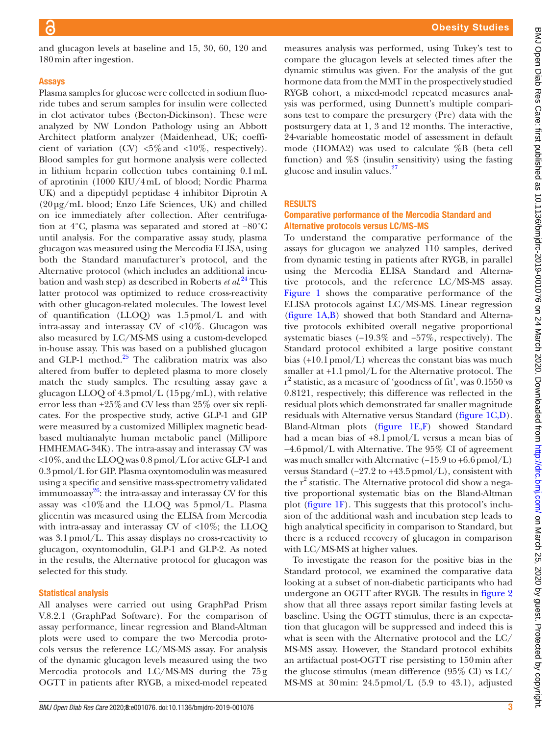and glucagon levels at baseline and 15, 30, 60, 120 and 180min after ingestion.

#### Assays

Plasma samples for glucose were collected in sodium fluoride tubes and serum samples for insulin were collected in clot activator tubes (Becton-Dickinson). These were analyzed by NW London Pathology using an Abbott Architect platform analyzer (Maidenhead, UK; coefficient of variation (CV)  $\langle 5\% \rangle$  and  $\langle 10\% \rangle$ , respectively). Blood samples for gut hormone analysis were collected in lithium heparin collection tubes containing 0.1mL of aprotinin (1000 KIU/4mL of blood; Nordic Pharma UK) and a dipeptidyl peptidase 4 inhibitor Diprotin A (20µg/mL blood; Enzo Life Sciences, UK) and chilled on ice immediately after collection. After centrifugation at 4°C, plasma was separated and stored at −80°C until analysis. For the comparative assay study, plasma glucagon was measured using the Mercodia ELISA, using both the Standard manufacturer's protocol, and the Alternative protocol (which includes an additional incubation and wash step) as described in Roberts *et al*. [24](#page-9-5) This latter protocol was optimized to reduce cross-reactivity with other glucagon-related molecules. The lowest level of quantification (LLOQ) was 1.5pmol/L and with intra-assay and interassay CV of <10%. Glucagon was also measured by LC/MS-MS using a custom-developed in-house assay. This was based on a published glucagon and GLP-1 method. $25$  The calibration matrix was also altered from buffer to depleted plasma to more closely match the study samples. The resulting assay gave a glucagon LLOQ of 4.3pmol/L (15pg/mL), with relative error less than  $\pm 25\%$  and CV less than  $25\%$  over six replicates. For the prospective study, active GLP-1 and GIP were measured by a customized Milliplex magnetic beadbased multianalyte human metabolic panel (Millipore HMHEMAG-34K). The intra-assay and interassay CV was <10%, and the LLOQ was 0.8pmol/L for active GLP-1 and 0.3pmol/L for GIP. Plasma oxyntomodulin was measured using a specific and sensitive mass-spectrometry validated immunoassay<sup>[26](#page-9-7)</sup>: the intra-assay and interassay CV for this assay was  $\langle 10\% \text{ and the LLOQ was 5pmol/L.}$  Plasma glicentin was measured using the ELISA from Mercodia with intra-assay and interassay CV of <10%; the LLOQ was 3.1pmol/L. This assay displays no cross-reactivity to glucagon, oxyntomodulin, GLP-1 and GLP-2. As noted in the results, the Alternative protocol for glucagon was selected for this study.

#### Statistical analysis

All analyses were carried out using GraphPad Prism V.8.2.1 (GraphPad Software). For the comparison of assay performance, linear regression and Bland-Altman plots were used to compare the two Mercodia protocols versus the reference LC/MS-MS assay. For analysis of the dynamic glucagon levels measured using the two Mercodia protocols and LC/MS-MS during the 75g OGTT in patients after RYGB, a mixed-model repeated

measures analysis was performed, using Tukey's test to compare the glucagon levels at selected times after the dynamic stimulus was given. For the analysis of the gut hormone data from the MMT in the prospectively studied RYGB cohort, a mixed-model repeated measures analysis was performed, using Dunnett's multiple comparisons test to compare the presurgery (Pre) data with the postsurgery data at 1, 3 and 12 months. The interactive, 24-variable homeostatic model of assessment in default mode (HOMA2) was used to calculate %B (beta cell function) and %S (insulin sensitivity) using the fasting glucose and insulin values.<sup>[27](#page-9-8)</sup>

#### **RESULTS**

### Comparative performance of the Mercodia Standard and Alternative protocols versus LC/MS-MS

To understand the comparative performance of the assays for glucagon we analyzed 110 samples, derived from dynamic testing in patients after RYGB, in parallel using the Mercodia ELISA Standard and Alternative protocols, and the reference LC/MS-MS assay. [Figure](#page-3-0) 1 shows the comparative performance of the ELISA protocols against LC/MS-MS. Linear regression [\(figure](#page-3-0) 1A,B) showed that both Standard and Alternative protocols exhibited overall negative proportional systematic biases (−19.3% and −57%, respectively). The Standard protocol exhibited a large positive constant bias  $(+10.1 \text{ pmol/L})$  whereas the constant bias was much smaller at +1.1pmol/L for the Alternative protocol. The r<sup>2</sup> statistic, as a measure of 'goodness of fit', was 0.1550 vs 0.8121, respectively; this difference was reflected in the residual plots which demonstrated far smaller magnitude residuals with Alternative versus Standard [\(figure](#page-3-0) 1C,D). Bland-Altman plots [\(figure](#page-3-0) 1E,F) showed Standard had a mean bias of +8.1pmol/L versus a mean bias of −4.6pmol/L with Alternative. The 95% CI of agreement was much smaller with Alternative (−15.9 to +6.6pmol/L) versus Standard (−27.2 to +43.5pmol/L), consistent with the r<sup>2</sup> statistic. The Alternative protocol did show a negative proportional systematic bias on the Bland-Altman plot ([figure](#page-3-0) 1F). This suggests that this protocol's inclusion of the additional wash and incubation step leads to high analytical specificity in comparison to Standard, but there is a reduced recovery of glucagon in comparison with LC/MS-MS at higher values.

To investigate the reason for the positive bias in the Standard protocol, we examined the comparative data looking at a subset of non-diabetic participants who had undergone an OGTT after RYGB. The results in [figure](#page-4-0) 2 show that all three assays report similar fasting levels at baseline. Using the OGTT stimulus, there is an expectation that glucagon will be suppressed and indeed this is what is seen with the Alternative protocol and the LC/ MS-MS assay. However, the Standard protocol exhibits an artifactual post-OGTT rise persisting to 150min after the glucose stimulus (mean difference (95% CI) vs LC/ MS-MS at 30min: 24.5pmol/L (5.9 to 43.1), adjusted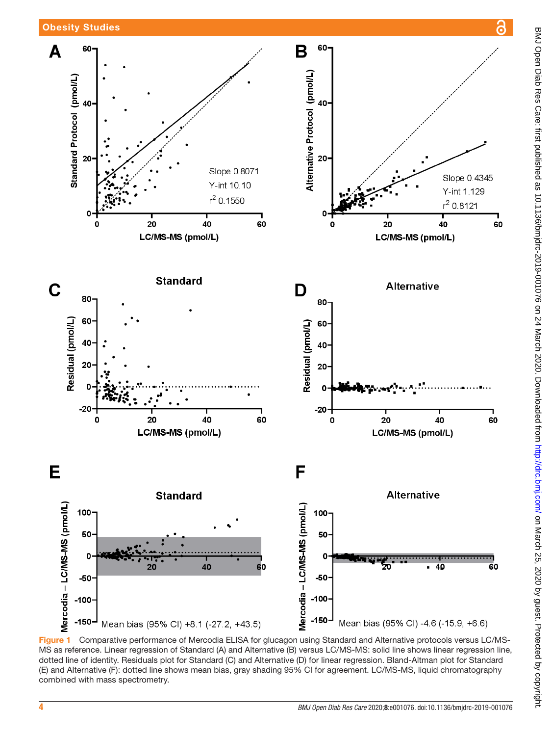# Obesity Studies



<span id="page-3-0"></span>Figure 1 Comparative performance of Mercodia ELISA for glucagon using Standard and Alternative protocols versus LC/MS-MS as reference. Linear regression of Standard (A) and Alternative (B) versus LC/MS-MS: solid line shows linear regression line, dotted line of identity. Residuals plot for Standard (C) and Alternative (D) for linear regression. Bland-Altman plot for Standard (E) and Alternative (F): dotted line shows mean bias, gray shading 95% CI for agreement. LC/MS-MS, liquid chromatography combined with mass spectrometry.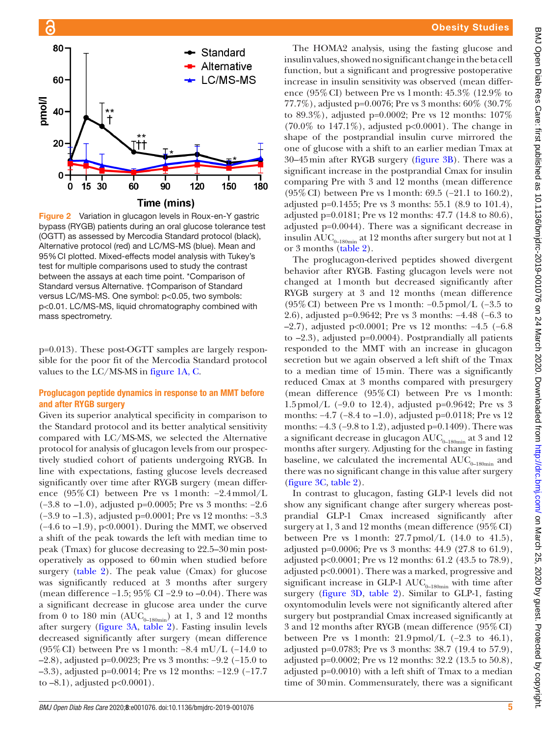

<span id="page-4-0"></span>Figure 2 Variation in glucagon levels in Roux-en-Y gastric bypass (RYGB) patients during an oral glucose tolerance test (OGTT) as assessed by Mercodia Standard protocol (black), Alternative protocol (red) and LC/MS-MS (blue). Mean and 95%CI plotted. Mixed-effects model analysis with Tukey's test for multiple comparisons used to study the contrast between the assays at each time point. \*Comparison of Standard versus Alternative. †Comparison of Standard versus LC/MS-MS. One symbol: p<0.05, two symbols: p<0.01. LC/MS-MS, liquid chromatography combined with mass spectrometry.

p=0.013). These post-OGTT samples are largely responsible for the poor fit of the Mercodia Standard protocol values to the LC/MS-MS in [figure](#page-3-0) 1A, C.

#### Proglucagon peptide dynamics in response to an MMT before and after RYGB surgery

Given its superior analytical specificity in comparison to the Standard protocol and its better analytical sensitivity compared with LC/MS-MS, we selected the Alternative protocol for analysis of glucagon levels from our prospectively studied cohort of patients undergoing RYGB. In line with expectations, fasting glucose levels decreased significantly over time after RYGB surgery (mean difference (95%CI) between Pre vs 1month: −2.4mmol/L (−3.8 to –1.0), adjusted p=0.0005; Pre vs 3 months: −2.6 (−3.9 to –1.3), adjusted p=0.0001; Pre vs 12 months: −3.3 (−4.6 to –1.9), p<0.0001). During the MMT, we observed a shift of the peak towards the left with median time to peak (Tmax) for glucose decreasing to 22.5–30min postoperatively as opposed to 60min when studied before surgery ( $table\ 2$  $table\ 2$ ). The peak value (Cmax) for glucose was significantly reduced at 3 months after surgery (mean difference −1.5; 95% CI −2.9 to –0.04). There was a significant decrease in glucose area under the curve from 0 to 180 min ( $AUC_{0-180min}$ ) at 1, 3 and 12 months after surgery [\(figure](#page-6-0) 3A, [table](#page-5-0) 2). Fasting insulin levels decreased significantly after surgery (mean difference (95%CI) between Pre vs 1month: −8.4 mU/L (−14.0 to –2.8), adjusted p=0.0023; Pre vs 3 months: −9.2 (−15.0 to –3.3), adjusted p=0.0014; Pre vs 12 months: −12.9 (−17.7 to –8.1), adjusted p<0.0001).

# Obesity Studies

The HOMA2 analysis, using the fasting glucose and insulin values, showed no significant change in the beta cell function, but a significant and progressive postoperative increase in insulin sensitivity was observed (mean difference (95%CI) between Pre vs 1month: 45.3% (12.9% to 77.7%), adjusted p=0.0076; Pre vs 3 months: 60% (30.7% to 89.3%), adjusted p=0.0002; Pre vs 12 months: 107%  $(70.0\% \text{ to } 147.1\%)$ , adjusted p<0.0001). The change in shape of the postprandial insulin curve mirrored the one of glucose with a shift to an earlier median Tmax at 30–45min after RYGB surgery [\(figure](#page-6-0) 3B). There was a significant increase in the postprandial Cmax for insulin comparing Pre with 3 and 12 months (mean difference (95%CI) between Pre vs 1month: 69.5 (−21.1 to 160.2), adjusted p=0.1455; Pre vs 3 months: 55.1 (8.9 to 101.4), adjusted p=0.0181; Pre vs 12 months: 47.7 (14.8 to 80.6), adjusted p=0.0044). There was a significant decrease in insulin  $AUC_{_{0-180min}}$  at 12 months after surgery but not at 1 or 3 months ([table](#page-5-0) 2).

The proglucagon-derived peptides showed divergent behavior after RYGB. Fasting glucagon levels were not changed at 1month but decreased significantly after RYGB surgery at 3 and 12 months (mean difference  $(95\% \text{ CI})$  between Pre vs 1 month:  $-0.5$  pmol/L ( $-3.5$  to 2.6), adjusted p=0.9642; Pre vs 3 months: −4.48 (−6.3 to –2.7), adjusted p<0.0001; Pre vs 12 months: −4.5 (−6.8 to  $-2.3$ ), adjusted  $p=0.0004$ ). Postprandially all patients responded to the MMT with an increase in glucagon secretion but we again observed a left shift of the Tmax to a median time of 15min. There was a significantly reduced Cmax at 3 months compared with presurgery (mean difference (95%CI) between Pre vs 1month: 1.5pmol/L (−9.0 to 12.4), adjusted p=0.9642; Pre vs 3 months: −4.7 (−8.4 to –1.0), adjusted p=0.0118; Pre vs 12 months: −4.3 (−9.8 to 1.2), adjusted p=0.1409). There was a significant decrease in glucagon  $AUC_{_{0-180\text{min}}}$  at 3 and 12 months after surgery. Adjusting for the change in fasting baseline, we calculated the incremental  $AUC_{_{0-180min}}$  and there was no significant change in this value after surgery [\(figure](#page-6-0) 3C, [table](#page-5-0) 2).

In contrast to glucagon, fasting GLP-1 levels did not show any significant change after surgery whereas postprandial GLP-1 Cmax increased significantly after surgery at 1, 3 and 12 months (mean difference  $(95\% \text{ CI})$ between Pre vs 1 month:  $27.7$  pmol/L  $(14.0 \text{ to } 41.5)$ , adjusted p=0.0006; Pre vs 3 months: 44.9 (27.8 to 61.9), adjusted p<0.0001; Pre vs 12 months: 61.2 (43.5 to 78.9), adjusted p<0.0001). There was a marked, progressive and significant increase in GLP-1  $AUC_{0-180min}$  with time after surgery ([figure](#page-6-0) 3D, [table](#page-5-0) 2). Similar to GLP-1, fasting oxyntomodulin levels were not significantly altered after surgery but postprandial Cmax increased significantly at 3 and 12 months after RYGB (mean difference (95%CI) between Pre vs 1month:  $21.9$ pmol/L (-2.3 to 46.1), adjusted p=0.0783; Pre vs 3 months: 38.7 (19.4 to 57.9), adjusted p=0.0002; Pre vs 12 months: 32.2 (13.5 to 50.8), adjusted p=0.0010) with a left shift of Tmax to a median time of 30min. Commensurately, there was a significant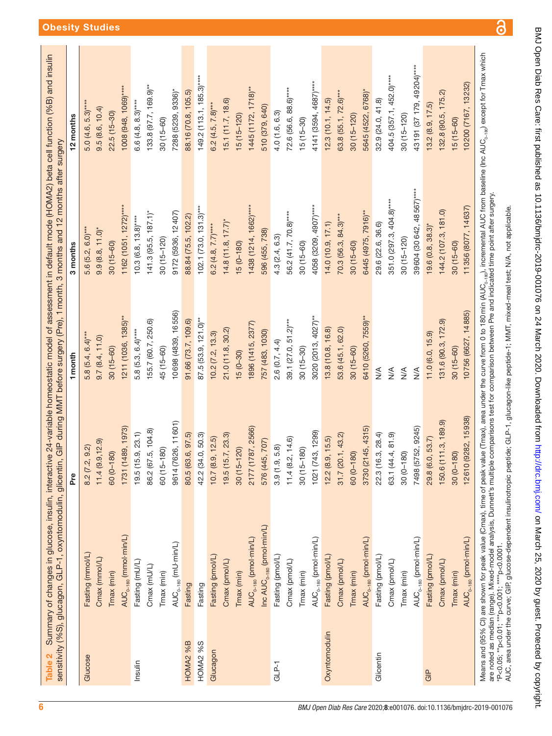<span id="page-5-0"></span>

|               | Table 2 Summary of changes in glucose, insulin, interactive 24-variable homeostatic model of assessment in default mode (HOMA2) beta cell function (%B) and insulin<br>sensitivity (%S), glucagon, GLP-1, oxyntomodulin, glicentin, GIP during MMT before surgery (Pre), 1 month, 3 months and 12 months after surgery |                      |                                   |                             |                            |
|---------------|------------------------------------------------------------------------------------------------------------------------------------------------------------------------------------------------------------------------------------------------------------------------------------------------------------------------|----------------------|-----------------------------------|-----------------------------|----------------------------|
|               |                                                                                                                                                                                                                                                                                                                        | Pre                  | 1 month                           | 3 months                    | 12 months                  |
| Glucose       | Fasting (mmol/L)                                                                                                                                                                                                                                                                                                       | 8.2 (7.2, 9.2)       | $5.8(5.4, 6.4)***$                | $5.6(5.2, 6.0)$ ***         | $5.0(4.6, 5.3)$ ****       |
|               | Cmax (mmol/L)                                                                                                                                                                                                                                                                                                          | 11.4(9.9, 12.9)      | 9.7(8.4, 11.0)                    | $9.9(8.8, 11.0)$ *          | 9.5(8.6, 10.4)             |
|               | Tmax (min)                                                                                                                                                                                                                                                                                                             | $60(0 - 180)$        | $30(15-60)$                       | $30(15 - 60)$               | $22.5(15-30)$              |
|               | AUC <sub>0-180</sub> (mmol-min/L)                                                                                                                                                                                                                                                                                      | 1731 (1489, 1973)    | 1211 (1036, 1385)**               | 1162 (1051, 1272)****       | 1008 (948, 1069)****       |
| Insulin       | Fasting (mU/L)                                                                                                                                                                                                                                                                                                         | 19.5(15.9, 23.1)     | $5.8(5.3, 6.4)$ ****              | $10.3(6.8, 13.8)$ ***       | $6.6(4.8, 8.3)$ ****       |
|               | Cmax (mU/L)                                                                                                                                                                                                                                                                                                            | 86.2 (67.5, 104.8)   | 155.7 (60.7, 250.6)               | $141.3(95.5, 187.1)^{*}$    | $133.8(97.7, 169.9)$ **    |
|               | Tmax (min)                                                                                                                                                                                                                                                                                                             | 60 (15-180)          | 45 (15-60)                        | $30(15 - 120)$              | $30(15-60)$                |
|               | AUC <sub>0-180</sub> (mU-min/L)                                                                                                                                                                                                                                                                                        | 9614 (7626, 11 601)  | 10698 (4839, 16556)               | 9172 (5936, 12407)          | 7288 (5239, 9336)*         |
| HOMA2 %B      | Fasting                                                                                                                                                                                                                                                                                                                | 80.5 (63.6, 97.5)    | 91.66 (73.7, 109.6)               | 88.84 (75.5, 102.2)         | 88.16 (70.8, 105.5)        |
| HOMA2 %S      | Fasting                                                                                                                                                                                                                                                                                                                | 42.2 (34.0, 50.3)    | $87.5(53.9, 121.0)$ <sup>**</sup> | $102.1(73.0, 131.3)$ ***    | $149.2(113.1, 185.3)$ **** |
| Glucagon      | Fasting (pmol/L)                                                                                                                                                                                                                                                                                                       | 10.7(8.9, 12.5)      | 10.2(7.2, 13.3)                   | $6.2(4.8, 7.7***$           | $6.2(4.5, 7.8)***$         |
|               | Cmax (pmol/L)                                                                                                                                                                                                                                                                                                          | 19.5 (15.7, 23.3)    | 21.0 (11.8, 30.2)                 | $14.8(11.8, 17.7)$ *        | 15.1 (11.7, 18.6)          |
|               | Tmax (min)                                                                                                                                                                                                                                                                                                             | $30(15 - 120)$       | $15(0-30)$                        | $15(0 - 180)$               | $15(15 - 120)$             |
|               | $\text{AUC}_{o-\text{180}}$ (pmol-min/L)                                                                                                                                                                                                                                                                               | 2177 (1787, 2566)    | 1896 (1415, 2377)                 | $1438(1214, 1662)$ ****     | $1445(1172, 1718)$ **      |
|               | Inc AUC <sub>0-180</sub> (pmol·min/L)                                                                                                                                                                                                                                                                                  | 576 (445, 707)       | 757 (483, 1030)                   | 596 (455, 738)              | 510 (379, 640)             |
| GLP-1         | Fasting (pmol/L)                                                                                                                                                                                                                                                                                                       | 3.9(1.9, 5.8)        | 2.6 (0.7, 4.4)                    | 4.3 (2.4, 6.3)              | 4.0(1.6, 6.3)              |
|               | Cmax (pmol/L)                                                                                                                                                                                                                                                                                                          | 11.4(8.2, 14.6)      | $39.1(27.0, 51.2)***$             | 56.2 (41.7, 70.8)****       | 72.6 (56.6, 88.6)****      |
|               | Tmax (min)                                                                                                                                                                                                                                                                                                             | $30(15-180)$         | $30(15-30)$                       | $30(15 - 60)$               | $15(15-30)$                |
|               | AUC <sub>0-180</sub> (pmol-min/L)                                                                                                                                                                                                                                                                                      | 1021 (743, 1299)     | $3020(2013, 4027)$ **             | 4058 (3209, 4907)****       | 4141 (3594, 4687)****      |
| Oxyntomodulin | Fasting (pmol/L)                                                                                                                                                                                                                                                                                                       | 12.2(8.9, 15.5)      | 13.8 (10.8, 16.8)                 | 14.0 (10.9, 17.1)           | 12.3(10.1, 14.5)           |
|               | Cmax (pmol/L)                                                                                                                                                                                                                                                                                                          | 31.7 (20.1, 43.2)    | 53.6 (45.1, 62.0)                 | $70.3$ (56.3, 84.3)***      | $63.8(55.1, 72.6)***$      |
|               | Tmax (min)                                                                                                                                                                                                                                                                                                             | $60(0-180)$          | $30(15-60)$                       | $30(15-60)$                 | $30(15 - 120)$             |
|               | AUC <sub>0-180</sub> (pmol-min/L)                                                                                                                                                                                                                                                                                      | 3730 (2145, 4315)    | 6410 (5260, 7559)**               | 6445 (4975, 7916)**         | 5645 (4522, 6768)*         |
| Glicentin     | Fasting (pmol/L)                                                                                                                                                                                                                                                                                                       | 22.3 (16.3, 28.4)    | $\frac{1}{2}$                     | 29.6 (22.6, 36.6)           | 32.9 (24.0, 41.8)          |
|               | Cmax (pmol/L)                                                                                                                                                                                                                                                                                                          | 63.1 (44.4, 81.9)    | ≸                                 | 351.0 (297.3, 404.8)****    | 404.5 (357.1, 452.0)****   |
|               | Tmax (min)                                                                                                                                                                                                                                                                                                             | $30(0-180)$          | $\frac{4}{\sqrt{2}}$              | $30(15 - 120)$              | $30(15 - 120)$             |
|               | AUC <sub>0-180</sub> (pmol-min/L)                                                                                                                                                                                                                                                                                      | 7498 (5752, 9245)    | $\frac{4}{2}$                     | 39 604 (30 642, 48 567)**** | 43191 (37179, 49204)****   |
| <b>GIP</b>    | Fasting (pmol/L)                                                                                                                                                                                                                                                                                                       | 29.8 (6.0, 53.7)     | 11.0 (6.0, 15.9)                  | 19.6(0.8, 38.3)             | 13.2(8.9, 17.5)            |
|               | Cmax (pmol/L)                                                                                                                                                                                                                                                                                                          | 150.6 (111.3, 189.9) | 131.6 (90.3, 172.9)               | 144.2 (107.3, 181.0)        | 132.8 (90.5, 175.2)        |
|               | Tmax (min)                                                                                                                                                                                                                                                                                                             | $30(0-180)$          | $30(15-60)$                       | $30(15-60)$                 | $15(15-60)$                |
|               | AUC <sub>0-180</sub> (pmol-min/L)                                                                                                                                                                                                                                                                                      | 12610 (9282, 15938)  | 10756 (6627, 14885)               | 11356 (8077, 14637)         | 10200 (7167, 13232)        |
|               | Means and (95% CI) are shown for peak value (Cmax), time of peak value (Tmax), area under the curve from 0 to 180 min (AUC,a), incremental AUC from baseline (Inc AUC,) except for Tmax which                                                                                                                          |                      |                                   |                             |                            |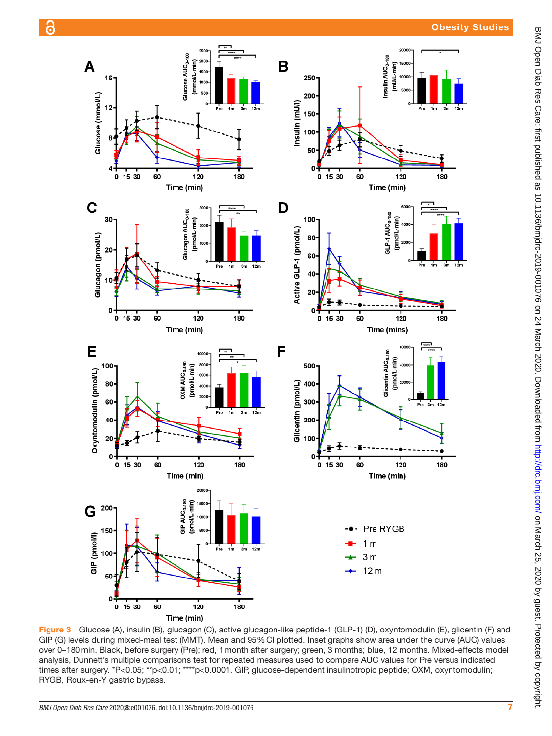

<span id="page-6-0"></span>Figure 3 Glucose (A), insulin (B), glucagon (C), active glucagon-like peptide-1 (GLP-1) (D), oxyntomodulin (E), glicentin (F) and GIP (G) levels during mixed-meal test (MMT). Mean and 95%CI plotted. Inset graphs show area under the curve (AUC) values over 0–180min. Black, before surgery (Pre); red, 1month after surgery; green, 3 months; blue, 12 months. Mixed-effects model analysis, Dunnett's multiple comparisons test for repeated measures used to compare AUC values for Pre versus indicated times after surgery. \*P<0.05; \*\*p<0.01; \*\*\*\*p<0.0001. GIP, glucose-dependent insulinotropic peptide; OXM, oxyntomodulin; RYGB, Roux-en-Y gastric bypass.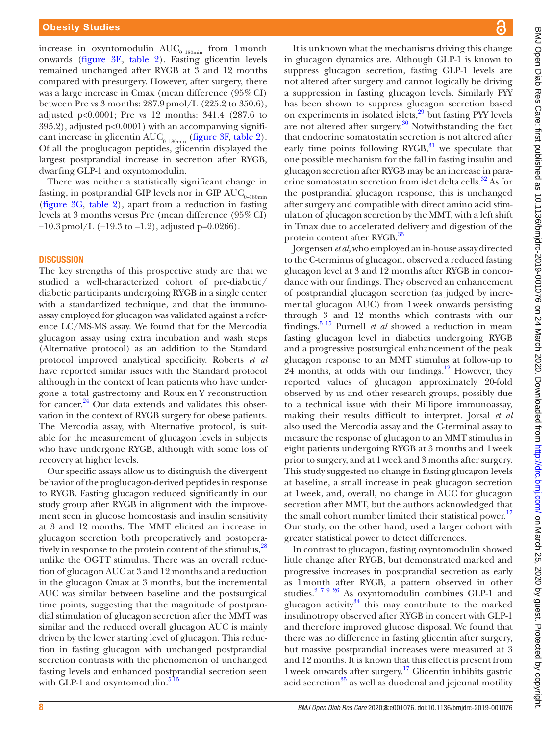increase in oxyntomodulin  $AUC_{0-180min}$  from 1month onwards [\(figure](#page-6-0) 3E, [table](#page-5-0) 2). Fasting glicentin levels remained unchanged after RYGB at 3 and 12 months compared with presurgery. However, after surgery, there was a large increase in Cmax (mean difference  $(95\%$  CI) between Pre vs 3 months: 287.9pmol/L (225.2 to 350.6), adjusted p<0.0001; Pre vs 12 months: 341.4 (287.6 to  $395.2$ ), adjusted  $p<0.0001$ ) with an accompanying significant increase in glicentin  $AUC_{0-180min}$  [\(figure](#page-6-0) 3F, [table](#page-5-0) 2). Of all the proglucagon peptides, glicentin displayed the largest postprandial increase in secretion after RYGB, dwarfing GLP-1 and oxyntomodulin.

There was neither a statistically significant change in fasting, in postprandial GIP levels nor in GIP  $AUC_{0-180min}$ [\(figure](#page-6-0) 3G, [table](#page-5-0) 2), apart from a reduction in fasting levels at 3 months versus Pre (mean difference  $(95\% \text{ CI})$  $-10.3$  pmol/L ( $-19.3$  to  $-1.2$ ), adjusted p=0.0266).

#### **DISCUSSION**

The key strengths of this prospective study are that we studied a well-characterized cohort of pre-diabetic/ diabetic participants undergoing RYGB in a single center with a standardized technique, and that the immunoassay employed for glucagon was validated against a reference LC/MS-MS assay. We found that for the Mercodia glucagon assay using extra incubation and wash steps (Alternative protocol) as an addition to the Standard protocol improved analytical specificity. Roberts *et al* have reported similar issues with the Standard protocol although in the context of lean patients who have undergone a total gastrectomy and Roux-en-Y reconstruction for cancer. $^{24}$  $^{24}$  $^{24}$  Our data extends and validates this observation in the context of RYGB surgery for obese patients. The Mercodia assay, with Alternative protocol, is suitable for the measurement of glucagon levels in subjects who have undergone RYGB, although with some loss of recovery at higher levels.

Our specific assays allow us to distinguish the divergent behavior of the proglucagon-derived peptides in response to RYGB. Fasting glucagon reduced significantly in our study group after RYGB in alignment with the improvement seen in glucose homeostasis and insulin sensitivity at 3 and 12 months. The MMT elicited an increase in glucagon secretion both preoperatively and postopera-tively in response to the protein content of the stimulus,<sup>[28](#page-9-9)</sup> unlike the OGTT stimulus. There was an overall reduction of glucagon AUC at 3 and 12 months and a reduction in the glucagon Cmax at 3 months, but the incremental AUC was similar between baseline and the postsurgical time points, suggesting that the magnitude of postprandial stimulation of glucagon secretion after the MMT was similar and the reduced overall glucagon AUC is mainly driven by the lower starting level of glucagon. This reduction in fasting glucagon with unchanged postprandial secretion contrasts with the phenomenon of unchanged fasting levels and enhanced postprandial secretion seen with GLP-1 and oxyntomodulin. $515$ 

It is unknown what the mechanisms driving this change in glucagon dynamics are. Although GLP-1 is known to suppress glucagon secretion, fasting GLP-1 levels are not altered after surgery and cannot logically be driving a suppression in fasting glucagon levels. Similarly PYY has been shown to suppress glucagon secretion based on experiments in isolated islets, $29$  but fasting PYY levels are not altered after surgery. $30$  Notwithstanding the fact that endocrine somatostatin secretion is not altered after early time points following  $RYGB$ ,<sup>[31](#page-9-12)</sup> we speculate that one possible mechanism for the fall in fasting insulin and glucagon secretion after RYGB may be an increase in paracrine somatostatin secretion from islet delta cells.<sup>32</sup> As for the postprandial glucagon response, this is unchanged after surgery and compatible with direct amino acid stimulation of glucagon secretion by the MMT, with a left shift in Tmax due to accelerated delivery and digestion of the protein content after RYGB.<sup>33</sup>

Jorgensen *et al*, who employed an in-house assay directed to the C-terminus of glucagon, observed a reduced fasting glucagon level at 3 and 12 months after RYGB in concordance with our findings. They observed an enhancement of postprandial glucagon secretion (as judged by incremental glucagon AUC) from 1week onwards persisting through 3 and 12 months which contrasts with our findings.[5 15](#page-8-2) Purnell *et al* showed a reduction in mean fasting glucagon level in diabetics undergoing RYGB and a progressive postsurgical enhancement of the peak glucagon response to an MMT stimulus at follow-up to 24 months, at odds with our findings.<sup>[12](#page-9-1)</sup> However, they reported values of glucagon approximately 20-fold observed by us and other research groups, possibly due to a technical issue with their Millipore immunoassay, making their results difficult to interpret. Jorsal *et al* also used the Mercodia assay and the C-terminal assay to measure the response of glucagon to an MMT stimulus in eight patients undergoing RYGB at 3 months and 1week prior to surgery, and at 1week and 3 months after surgery. This study suggested no change in fasting glucagon levels at baseline, a small increase in peak glucagon secretion at 1week, and, overall, no change in AUC for glucagon secretion after MMT, but the authors acknowledged that the small cohort number limited their statistical power.<sup>17</sup> Our study, on the other hand, used a larger cohort with greater statistical power to detect differences.

In contrast to glucagon, fasting oxyntomodulin showed little change after RYGB, but demonstrated marked and progressive increases in postprandial secretion as early as 1month after RYGB, a pattern observed in other studies.<sup>2</sup> <sup>7</sup> 9 <sup>26</sup> As oxyntomodulin combines GLP-1 and glucagon activity $34$  this may contribute to the marked insulinotropy observed after RYGB in concert with GLP-1 and therefore improved glucose disposal. We found that there was no difference in fasting glicentin after surgery, but massive postprandial increases were measured at 3 and 12 months. It is known that this effect is present from 1week onwards after surgery. [17](#page-9-15) Glicentin inhibits gastric acid secretion $35$  as well as duodenal and jejeunal motility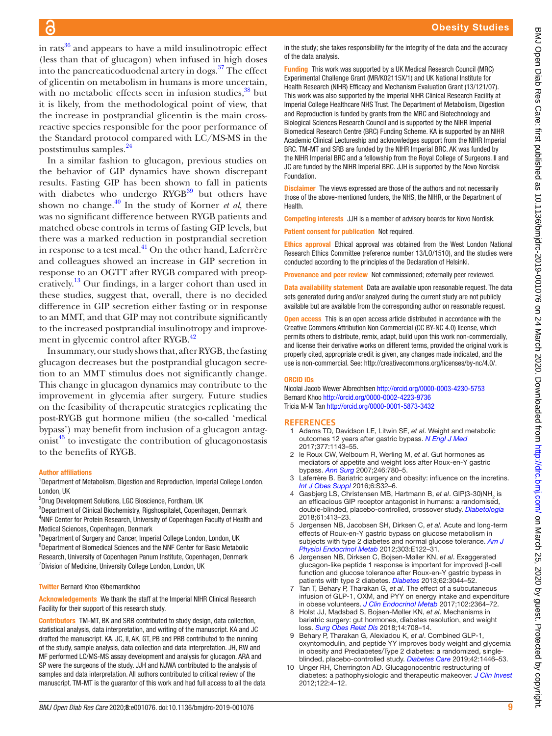in rats $36$  and appears to have a mild insulinotropic effect (less than that of glucagon) when infused in high doses into the pancreaticoduodenal artery in dogs. $37$  The effect of glicentin on metabolism in humans is more uncertain, with no metabolic effects seen in infusion studies, <sup>38</sup> but it is likely, from the methodological point of view, that the increase in postprandial glicentin is the main crossreactive species responsible for the poor performance of the Standard protocol compared with LC/MS-MS in the poststimulus samples.[24](#page-9-5)

In a similar fashion to glucagon, previous studies on the behavior of GIP dynamics have shown discrepant results. Fasting GIP has been shown to fall in patients with diabetes who undergo  $RYGB^{39}$  but others have shown no change[.40](#page-9-22) In the study of Korner *et al*, there was no significant difference between RYGB patients and matched obese controls in terms of fasting GIP levels, but there was a marked reduction in postprandial secretion in response to a test meal[.41](#page-9-23) On the other hand, Laferrère and colleagues showed an increase in GIP secretion in response to an OGTT after RYGB compared with preoperatively.[13](#page-9-0) Our findings, in a larger cohort than used in these studies, suggest that, overall, there is no decided difference in GIP secretion either fasting or in response to an MMT, and that GIP may not contribute significantly to the increased postprandial insulinotropy and improve-ment in glycemic control after RYGB.<sup>[42](#page-9-24)</sup>

In summary, our study shows that, after RYGB, the fasting glucagon decreases but the postprandial glucagon secretion to an MMT stimulus does not significantly change. This change in glucagon dynamics may contribute to the improvement in glycemia after surgery. Future studies on the feasibility of therapeutic strategies replicating the post-RYGB gut hormone milieu (the so-called 'medical bypass') may benefit from inclusion of a glucagon antag $onist<sup>43</sup>$  to investigate the contribution of glucagonostasis to the benefits of RYGB.

#### Author affiliations

<sup>1</sup>Department of Metabolism, Digestion and Reproduction, Imperial College London, London, UK

<sup>2</sup>Drug Development Solutions, LGC Bioscience, Fordham, UK

3 Department of Clinical Biochemistry, Rigshospitalet, Copenhagen, Denmark <sup>4</sup>NNF Center for Protein Research, University of Copenhagen Faculty of Health and Medical Sciences, Copenhagen, Denmark

5 Department of Surgery and Cancer, Imperial College London, London, UK <sup>6</sup>Department of Biomedical Sciences and the NNF Center for Basic Metabolic Research, University of Copenhagen Panum Institute, Copenhagen, Denmark <sup>7</sup>Division of Medicine, University College London, London, UK

#### Twitter Bernard Khoo [@bernardkhoo](https://twitter.com/bernardkhoo)

Acknowledgements We thank the staff at the Imperial NIHR Clinical Research Facility for their support of this research study.

Contributors TM-MT, BK and SRB contributed to study design, data collection, statistical analysis, data interpretation, and writing of the manuscript. KA and JC drafted the manuscript. KA, JC, II, AK, GT, PB and PRB contributed to the running of the study, sample analysis, data collection and data interpretation. JH, RW and MF performed LC/MS-MS assay development and analysis for glucagon. ARA and SP were the surgeons of the study. JJH and NJWA contributed to the analysis of samples and data interpretation. All authors contributed to critical review of the manuscript. TM-MT is the guarantor of this work and had full access to all the data in the study; she takes responsibility for the integrity of the data and the accuracy of the data analysis.

Funding This work was supported by a UK Medical Research Council (MRC) Experimental Challenge Grant (MR/K02115X/1) and UK National Institute for Health Research (NIHR) Efficacy and Mechanism Evaluation Grant (13/121/07). This work was also supported by the Imperial NIHR Clinical Research Facility at Imperial College Healthcare NHS Trust. The Department of Metabolism, Digestion and Reproduction is funded by grants from the MRC and Biotechnology and Biological Sciences Research Council and is supported by the NIHR Imperial Biomedical Research Centre (BRC) Funding Scheme. KA is supported by an NIHR Academic Clinical Lectureship and acknowledges support from the NIHR Imperial BRC. TM-MT and SRB are funded by the NIHR Imperial BRC. AK was funded by the NIHR Imperial BRC and a fellowship from the Royal College of Surgeons. II and JC are funded by the NIHR Imperial BRC. JJH is supported by the Novo Nordisk Foundation.

**Disclaimer** The views expressed are those of the authors and not necessarily those of the above-mentioned funders, the NHS, the NIHR, or the Department of Health.

Competing interests JJH is a member of advisory boards for Novo Nordisk.

Patient consent for publication Not required.

Ethics approval Ethical approval was obtained from the West London National Research Ethics Committee (reference number 13/LO/1510), and the studies were conducted according to the principles of the Declaration of Helsinki.

Provenance and peer review Not commissioned; externally peer reviewed.

Data availability statement Data are available upon reasonable request. The data sets generated during and/or analyzed during the current study are not publicly available but are available from the corresponding author on reasonable request.

Open access This is an open access article distributed in accordance with the Creative Commons Attribution Non Commercial (CC BY-NC 4.0) license, which permits others to distribute, remix, adapt, build upon this work non-commercially, and license their derivative works on different terms, provided the original work is properly cited, appropriate credit is given, any changes made indicated, and the use is non-commercial. See:<http://creativecommons.org/licenses/by-nc/4.0/>.

#### ORCID iDs

Nicolai Jacob Wewer Albrechtsen <http://orcid.org/0000-0003-4230-5753> Bernard Khoo <http://orcid.org/0000-0002-4223-9736> Tricia M-M Tan <http://orcid.org/0000-0001-5873-3432>

#### **References**

- <span id="page-8-0"></span>1 Adams TD, Davidson LE, Litwin SE, *et al*. Weight and metabolic outcomes 12 years after gastric bypass. *[N Engl J Med](http://dx.doi.org/10.1056/NEJMoa1700459)* 2017;377:1143–55.
- <span id="page-8-1"></span>2 le Roux CW, Welbourn R, Werling M, *et al*. Gut hormones as mediators of appetite and weight loss after Roux-en-Y gastric bypass. *[Ann Surg](http://dx.doi.org/10.1097/SLA.0b013e3180caa3e3)* 2007;246:780–5.
- Laferrère B. Bariatric surgery and obesity: influence on the incretins. *[Int J Obes Suppl](http://dx.doi.org/10.1038/ijosup.2016.8)* 2016;6:S32–6.
- 4 Gasbjerg LS, Christensen MB, Hartmann B, et al. GIP(3-30)NH<sub>2</sub> is an efficacious GIP receptor antagonist in humans: a randomised, double-blinded, placebo-controlled, crossover study. *[Diabetologia](http://dx.doi.org/10.1007/s00125-017-4447-4)* 2018;61:413–23.
- <span id="page-8-2"></span>5 Jørgensen NB, Jacobsen SH, Dirksen C, *et al*. Acute and long-term effects of Roux-en-Y gastric bypass on glucose metabolism in subjects with type 2 diabetes and normal glucose tolerance. *[Am J](http://dx.doi.org/10.1152/ajpendo.00073.2012)  [Physiol Endocrinol Metab](http://dx.doi.org/10.1152/ajpendo.00073.2012)* 2012;303:E122–31.
- 6 Jørgensen NB, Dirksen C, Bojsen-Møller KN, *et al*. Exaggerated glucagon-like peptide 1 response is important for improved β-cell function and glucose tolerance after Roux-en-Y gastric bypass in patients with type 2 diabetes. *[Diabetes](http://dx.doi.org/10.2337/db13-0022)* 2013;62:3044–52.
- <span id="page-8-6"></span>7 Tan T, Behary P, Tharakan G, *et al*. The effect of a subcutaneous infusion of GLP-1, OXM, and PYY on energy intake and expenditure in obese volunteers. *[J Clin Endocrinol Metab](http://dx.doi.org/10.1210/jc.2017-00469)* 2017;102:2364–72.
- <span id="page-8-5"></span>8 Holst JJ, Madsbad S, Bojsen-Møller KN, *et al*. Mechanisms in bariatric surgery: gut hormones, diabetes resolution, and weight loss. *[Surg Obes Relat Dis](http://dx.doi.org/10.1016/j.soard.2018.03.003)* 2018;14:708–14.
- <span id="page-8-3"></span>9 Behary P, Tharakan G, Alexiadou K, *et al*. Combined GLP-1, oxyntomodulin, and peptide YY improves body weight and glycemia in obesity and Prediabetes/Type 2 diabetes: a randomized, singleblinded, placebo-controlled study. *[Diabetes Care](http://dx.doi.org/10.2337/dc19-0449)* 2019;42:1446–53.
- <span id="page-8-4"></span>10 Unger RH, Cherrington AD. Glucagonocentric restructuring of diabetes: a pathophysiologic and therapeutic makeover. *[J Clin Invest](http://dx.doi.org/10.1172/JCI60016)* 2012;122:4–12.